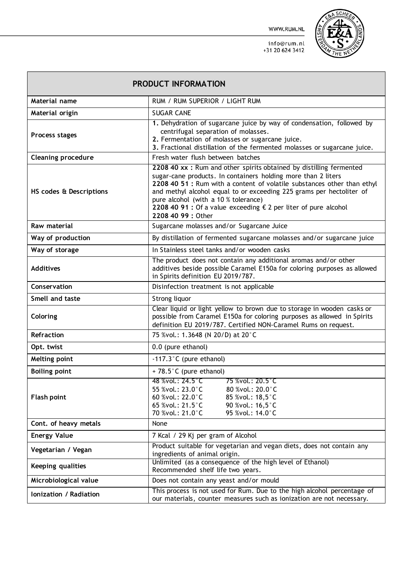WWW.RUM.NL



 $\mathcal{L}$ 

info@rum.nl +31 20 624 3412

| PRODUCT INFORMATION       |                                                                                                                                                                                                                                                                                                                                                                                                                         |  |  |  |
|---------------------------|-------------------------------------------------------------------------------------------------------------------------------------------------------------------------------------------------------------------------------------------------------------------------------------------------------------------------------------------------------------------------------------------------------------------------|--|--|--|
| Material name             | RUM / RUM SUPERIOR / LIGHT RUM                                                                                                                                                                                                                                                                                                                                                                                          |  |  |  |
| Material origin           | <b>SUGAR CANE</b>                                                                                                                                                                                                                                                                                                                                                                                                       |  |  |  |
| Process stages            | 1. Dehydration of sugarcane juice by way of condensation, followed by<br>centrifugal separation of molasses.<br>2. Fermentation of molasses or sugarcane juice.<br>3. Fractional distillation of the fermented molasses or sugarcane juice.                                                                                                                                                                             |  |  |  |
| <b>Cleaning procedure</b> | Fresh water flush between batches                                                                                                                                                                                                                                                                                                                                                                                       |  |  |  |
| HS codes & Descriptions   | 2208 40 xx : Rum and other spirits obtained by distilling fermented<br>sugar-cane products. In containers holding more than 2 liters<br>2208 40 51 : Rum with a content of volatile substances other than ethyl<br>and methyl alcohol equal to or exceeding 225 grams per hectoliter of<br>pure alcohol (with a 10 % tolerance)<br>2208 40 91 : Of a value exceeding € 2 per liter of pure alcohol<br>2208 40 99: Other |  |  |  |
| Raw material              | Sugarcane molasses and/or Sugarcane Juice                                                                                                                                                                                                                                                                                                                                                                               |  |  |  |
| Way of production         | By distillation of fermented sugarcane molasses and/or sugarcane juice                                                                                                                                                                                                                                                                                                                                                  |  |  |  |
| Way of storage            | In Stainless steel tanks and/or wooden casks                                                                                                                                                                                                                                                                                                                                                                            |  |  |  |
| <b>Additives</b>          | The product does not contain any additional aromas and/or other<br>additives beside possible Caramel E150a for coloring purposes as allowed<br>in Spirits definition EU 2019/787.                                                                                                                                                                                                                                       |  |  |  |
| Conservation              | Disinfection treatment is not applicable                                                                                                                                                                                                                                                                                                                                                                                |  |  |  |
| Smell and taste           | Strong liquor                                                                                                                                                                                                                                                                                                                                                                                                           |  |  |  |
| Coloring                  | Clear liquid or light yellow to brown due to storage in wooden casks or<br>possible from Caramel E150a for coloring purposes as allowed in Spirits<br>definition EU 2019/787. Certified NON-Caramel Rums on request.                                                                                                                                                                                                    |  |  |  |
| Refraction                | 75 %vol.: 1.3648 (N 20/D) at 20°C                                                                                                                                                                                                                                                                                                                                                                                       |  |  |  |
| Opt. twist                | 0.0 (pure ethanol)                                                                                                                                                                                                                                                                                                                                                                                                      |  |  |  |
| Melting point             | $-117.3$ °C (pure ethanol)                                                                                                                                                                                                                                                                                                                                                                                              |  |  |  |
| <b>Boiling point</b>      | + 78.5°C (pure ethanol)                                                                                                                                                                                                                                                                                                                                                                                                 |  |  |  |
| <b>Flash point</b>        | 48 %vol.: 24.5 °C<br>75 %vol.: 20.5 °C<br>55 %vol.: 23.0°C<br>80 %vol.: 20.0 °C<br>60 %vol.: 22.0°C<br>85 %vol.: 18,5 °C<br>65 %vol.: 21.5°C<br>90 %vol.: 16,5 °C<br>70 %vol.: 21.0°C<br>95 %vol.: 14.0°C                                                                                                                                                                                                               |  |  |  |
| Cont. of heavy metals     | None                                                                                                                                                                                                                                                                                                                                                                                                                    |  |  |  |
| <b>Energy Value</b>       | 7 Kcal / 29 Kj per gram of Alcohol                                                                                                                                                                                                                                                                                                                                                                                      |  |  |  |
| Vegetarian / Vegan        | Product suitable for vegetarian and vegan diets, does not contain any<br>ingredients of animal origin.                                                                                                                                                                                                                                                                                                                  |  |  |  |
| Keeping qualities         | Unlimited (as a consequence of the high level of Ethanol)<br>Recommended shelf life two years.                                                                                                                                                                                                                                                                                                                          |  |  |  |
| Microbiological value     | Does not contain any yeast and/or mould                                                                                                                                                                                                                                                                                                                                                                                 |  |  |  |
| Ionization / Radiation    | This process is not used for Rum. Due to the high alcohol percentage of<br>our materials, counter measures such as ionization are not necessary.                                                                                                                                                                                                                                                                        |  |  |  |

┍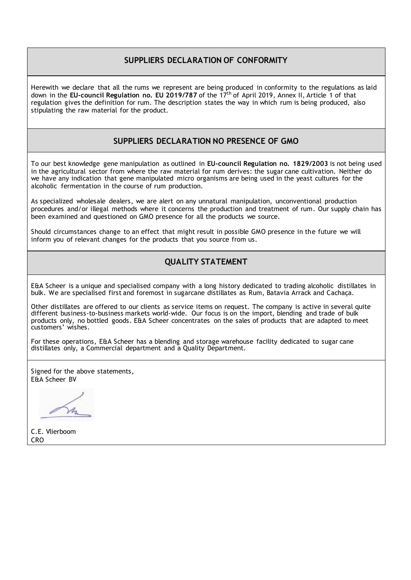### **SUPPLIERS DECLARATION OF CONFORMITY**

Herewith we declare that all the rums we represent are being produced in conformity to the regulations as laid down in the **EU-council Regulation no. EU 2019/787** of the 17 th of April 2019, Annex II, Article 1 of that regulation gives the definition for rum. The description states the way in which rum is being produced, also stipulating the raw material for the product.

### **SUPPLIERS DECLARATION NO PRESENCE OF GMO**

To our best knowledge gene manipulation as outlined in **EU-council Regulation no. 1829/2003** is not being used in the agricultural sector from where the raw material for rum derives: the sugar cane cultivation. Neither do we have any indication that gene manipulated micro organisms are being used in the yeast cultures for the alcoholic fermentation in the course of rum production.

As specialized wholesale dealers, we are alert on any unnatural manipulation, unconventional production procedures and/or illegal methods where it concerns the production and treatment of rum. Our supply chain has been examined and questioned on GMO presence for all the products we source.

Should circumstances change to an effect that might result in possible GMO presence in the future we will inform you of relevant changes for the products that you source from us.

### **QUALITY STATEMENT**

E&A Scheer is a unique and specialised company with a long history dedicated to trading alcoholic distillates in bulk. We are specialised first and foremost in sugarcane distillates as Rum, Batavia Arrack and Cachaça.

Other distillates are offered to our clients as service items on request. The company is active in several quite different business-to-business markets world-wide. Our focus is on the import, blending and trade of bulk products only, no bottled goods. E&A Scheer concentrates on the sales of products that are adapted to meet customers' wishes.

For these operations, E&A Scheer has a blending and storage warehouse facility dedicated to sugar cane distillates only, a Commercial department and a Quality Department.

Signed for the above statements, E&A Scheer BV

Vh

C.E. Vlierboom CRO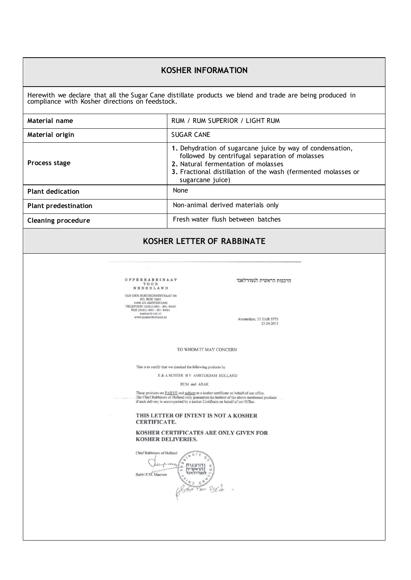### **KOSHER INFORMATION**

Herewith we declare that all the Sugar Cane distillate products we blend and trade are being produced in compliance with Kosher directions on feedstock.

| Material name               | RUM / RUM SUPERIOR / LIGHT RUM                                                                                                                                                                                                          |
|-----------------------------|-----------------------------------------------------------------------------------------------------------------------------------------------------------------------------------------------------------------------------------------|
| Material origin             | <b>SUGAR CANE</b>                                                                                                                                                                                                                       |
| Process stage               | 1. Dehydration of sugarcane juice by way of condensation,<br>followed by centrifugal separation of molasses<br>2. Natural fermentation of molasses<br>3. Fractional distillation of the wash (fermented molasses or<br>sugarcane juice) |
| <b>Plant dedication</b>     | None                                                                                                                                                                                                                                    |
| <b>Plant predestination</b> | Non-animal derived materials only                                                                                                                                                                                                       |
| <b>Cleaning procedure</b>   | Fresh water flush between batches                                                                                                                                                                                                       |

### **KOSHER LETTER OF RABBINATE**

 $\begin{tabular}{c} VAN DER BOECHORSTSTRAAT 26\\ \hline \textbf{RO} ROM AM 500K 7967\\ \textbf{1008} AM AM 5081DRO 0\\ \textbf{TELEPOON (0031) 020 - 301 8490}\\ \textbf{FAX (0031) 020 - 301 8491}\\ \textbf{FAX (0301) 020 - 301 8491}\\ \textbf{www.kosher@nik.nl}\\ \textbf{www.kosherholdand} \\ \end{tabular}$ 

הרבנות הראשית לנעדרלאנד

Amsterdam, 13 IJAR 5773<br>23.04.2013

TO WHOM IT MAY CONCERN

This is to certify that we checked the following products by

E & A SCHEER B V AMSTERDAM HOLLAND

RUM and ARAK

These products are <u>PARVE</u> and <u>subject</u> to a kosher certificate on behalf of our office. The Chief Rabbinate of Holland only guarantees the kashrut of the above mentioned products if each delivery is accompanied by a kos

THIS LETTER OF INTENT IS NOT A KOSHER CERTIFICATE.

KOSHER CERTIFICATES ARE ONLY GIVEN FOR **KOSHER DELIVERIES.** 

E MATE ON SURVEY OF A Chief Rabbinate of Holland Cemping Rabbi E.M. Maarsen Step Pler 850 Jk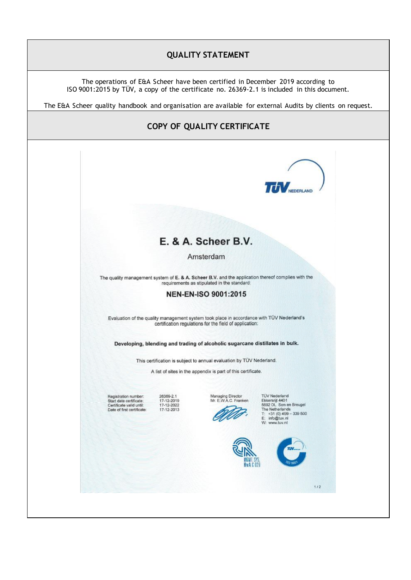## **QUALITY STATEMENT**

The operations of E&A Scheer have been certified in December 2019 according to ISO 9001:2015 by TÜV, a copy of the certificate no. 26369-2.1 is included in this document.

The E&A Scheer quality handbook and organisation are available for external Audits by clients on request.

# **COPY OF QUALITY CERTIFICATE**

|                                                                                                           |                                                     |                                                                                                                                                      | <b>TUV</b> NEDERLY                                                                                                                                 |     |
|-----------------------------------------------------------------------------------------------------------|-----------------------------------------------------|------------------------------------------------------------------------------------------------------------------------------------------------------|----------------------------------------------------------------------------------------------------------------------------------------------------|-----|
|                                                                                                           |                                                     |                                                                                                                                                      |                                                                                                                                                    |     |
|                                                                                                           |                                                     | E. & A. Scheer B.V.                                                                                                                                  |                                                                                                                                                    |     |
|                                                                                                           |                                                     | Amsterdam                                                                                                                                            |                                                                                                                                                    |     |
|                                                                                                           |                                                     | The quality management system of E. & A. Scheer B.V. and the application thereof complies with the<br>requirements as stipulated in the standard:    |                                                                                                                                                    |     |
|                                                                                                           |                                                     | NEN-EN-ISO 9001:2015                                                                                                                                 |                                                                                                                                                    |     |
|                                                                                                           |                                                     | Evaluation of the quality management system took place in accordance with TÜV Nederland's<br>certification regulations for the field of application: |                                                                                                                                                    |     |
|                                                                                                           |                                                     | Developing, blending and trading of alcoholic sugarcane distillates in bulk.                                                                         |                                                                                                                                                    |     |
|                                                                                                           |                                                     | This certification is subject to annual evaluation by TÜV Nederland.                                                                                 |                                                                                                                                                    |     |
|                                                                                                           |                                                     | A list of sites in the appendix is part of this certificate.                                                                                         |                                                                                                                                                    |     |
| Registration number:<br>Start date certificate:<br>Certificate valid until:<br>Date of first certificate: | 26369-2.1<br>17-12-2019<br>17-12-2022<br>17-12-2013 | Managing Director<br>Mr. E.W.A.C. Franken                                                                                                            | <b>TUV Nederland</b><br>Ekkersrijt 4401<br>5692 DL Son en Breugel<br>The Netherlands<br>$T: +31(0)499 - 339500$<br>E: info@tuv.nl<br>W: www.tuv.ml |     |
|                                                                                                           |                                                     | <u>Rais</u><br>MGMT, SYS.<br>Rva C 029                                                                                                               | TJV.<br>SD 901                                                                                                                                     |     |
|                                                                                                           |                                                     |                                                                                                                                                      |                                                                                                                                                    | 1/2 |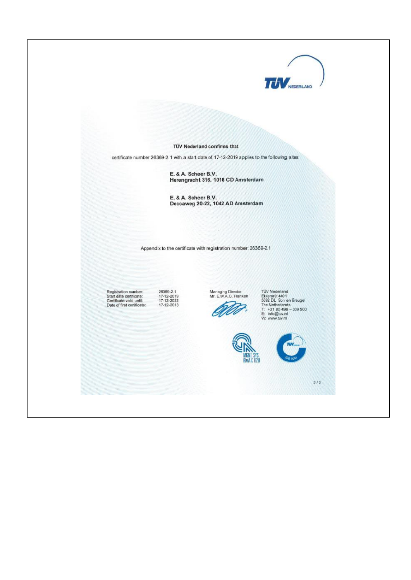

TÜV Nederland confirms that

certificate number 26369-2.1 with a start date of 17-12-2019 applies to the following sites:

E. & A. Scheer B.V. Herengracht 316. 1016 CD Amsterdam

E. & A. Scheer B.V.<br>Deccaweg 20-22, 1042 AD Amsterdam

Appendix to the certificate with registration number: 26369-2.1

Registration number:<br>Start date certificate:<br>Certificate valid until:<br>Date of first certificate:

26369-2.1<br>17-12-2019<br>17-12-2022<br>17-12-2013

Managing Director<br>Mr. E.W.A.C. Franken Z,

TÚV Nederland<br>Ekkersrijt 4401<br>5692 DL. Son en Breugel<br>Tr. +31 (0) 499 – 339 500<br>E: info@tuv.nt<br>W: www.tuv.nt





 $\frac{2}{2}$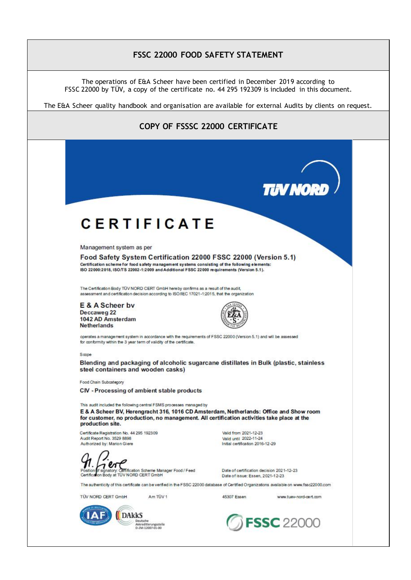### **FSSC 22000 FOOD SAFETY STATEMENT**

The operations of E&A Scheer have been certified in December 2019 according to FSSC 22000 by TÜV, a copy of the certificate no. 44 295 192309 is included in this document.

The E&A Scheer quality handbook and organisation are available for external Audits by clients on request.

### **COPY OF FSSSC 22000 CERTIFICATETIN NORI CERTIFICATE** Management system as per Food Safety System Certification 22000 FSSC 22000 (Version 5.1) Certification scheme for food safety management systems consisting of the following elements: ISO 22000:2018. ISO/TS 22002-1:2009 and Additional FSSC 22000 requirements (Version 5.1). The Certification Body TÜV NORD CERT GmbH hereby confirms as a result of the audit, assessment and certification decision according to ISO/IEC 17021-1:2015, that the organization E & A Scheer by Deccaweg 22 1042 AD Amsterdam **Netherlands** operates a management system in accordance with the requirements of FSSC 22000 (Version 5.1) and will be assessed for conformity within the 3 year term of validity of the certificate. Sonne Blending and packaging of alcoholic sugarcane distillates in Bulk (plastic, stainless steel containers and wooden casks) Food Chain Subcategory CIV - Processing of ambient stable products This audit included the following central FSMS processes managed by E & A Scheer BV, Herengracht 316, 1016 CD Amsterdam, Netherlands: Office and Show room for customer, no production, no management. All certification activities take place at the production site. Certificate Registration No. 44 295 192309 Valid from 2021-12-23 Audit Report No. 3529 8898 Valid until 2022-11-24 Initial certification 2016-12-29 Authorized by: Marion Giere ffification Scheme Manager Food / Feed Date of certification decision 2021-12-23 Body at TÜV NORD CERT GmbH Date of issue: Essen, 2021-12-23 The authenticity of this certificate can be verified in the FSSC 22000 database of Certified Organizations available on www.fssc22000.com TÛV NORD CERT GmbH Am TŪV 1 45307 Essen www.tuev-nord-cert.com **DAKKS FSSC** 22000 Deutsche<br>Akkreditierungsstelle<br>D-ZM-12007-01-00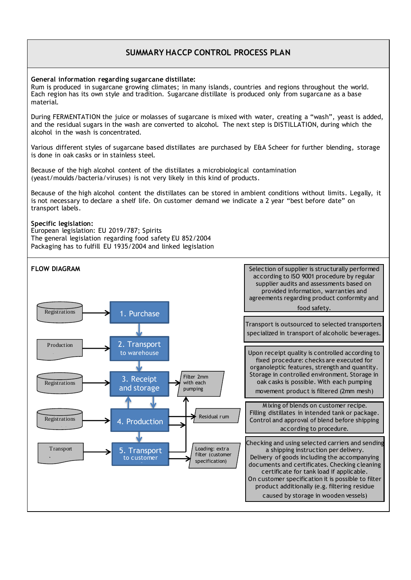### **SUMMARY HACCP CONTROL PROCESS PLAN**

**General information regarding sugarcane distillate:** 

Rum is produced in sugarcane growing climates; in many islands, countries and regions throughout the world. Each region has its own style and tradition. Sugarcane distillate is produced only from sugarcane as a base material.

During FERMENTATION the juice or molasses of sugarcane is mixed with water, creating a "wash", yeast is added, and the residual sugars in the wash are converted to alcohol. The next step is DISTILLATION, during which the alcohol in the wash is concentrated.

Various different styles of sugarcane based distillates are purchased by E&A Scheer for further blending, storage is done in oak casks or in stainless steel.

Because of the high alcohol content of the distillates a microbiological contamination (yeast/moulds/bacteria/viruses) is not very likely in this kind of products.

Because of the high alcohol content the distillates can be stored in ambient conditions without limits. Legally, it is not necessary to declare a shelf life. On customer demand we indicate a 2 year "best before date" on transport labels.

#### **Specific legislation:**

European legislation: EU 2019/787; Spirits The general legislation regarding food safety EU 852/2004 Packaging has to fulfill EU 1935/2004 and linked legislation